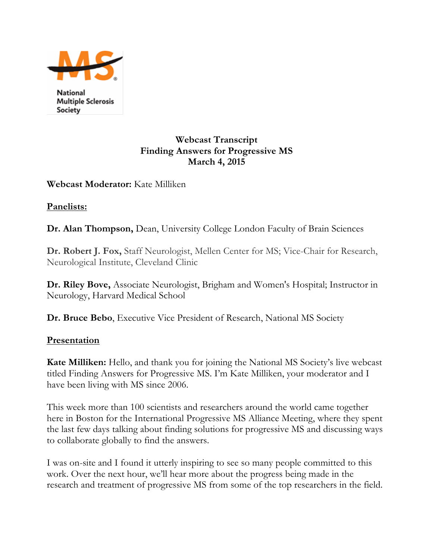

National **Multiple Sclerosis** Society

#### **Webcast Transcript Finding Answers for Progressive MS March 4, 2015**

#### **Webcast Moderator:** Kate Milliken

**Panelists:**

**Dr. Alan Thompson,** Dean, University College London Faculty of Brain Sciences

**Dr. Robert J. Fox,** Staff Neurologist, Mellen Center for MS; Vice-Chair for Research, Neurological Institute, Cleveland Clinic

**Dr. Riley Bove,** Associate Neurologist, Brigham and Women's Hospital; Instructor in Neurology, Harvard Medical School

**Dr. Bruce Bebo**, Executive Vice President of Research, National MS Society

## **Presentation**

**Kate Milliken:** Hello, and thank you for joining the National MS Society's live webcast titled Finding Answers for Progressive MS. I'm Kate Milliken, your moderator and I have been living with MS since 2006.

This week more than 100 scientists and researchers around the world came together here in Boston for the International Progressive MS Alliance Meeting, where they spent the last few days talking about finding solutions for progressive MS and discussing ways to collaborate globally to find the answers.

I was on-site and I found it utterly inspiring to see so many people committed to this work. Over the next hour, we'll hear more about the progress being made in the research and treatment of progressive MS from some of the top researchers in the field.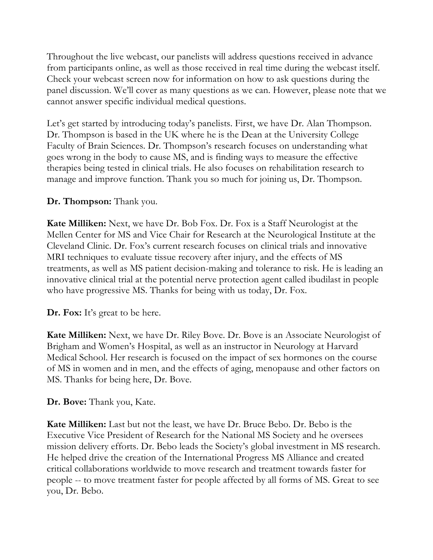Throughout the live webcast, our panelists will address questions received in advance from participants online, as well as those received in real time during the webcast itself. Check your webcast screen now for information on how to ask questions during the panel discussion. We'll cover as many questions as we can. However, please note that we cannot answer specific individual medical questions.

Let's get started by introducing today's panelists. First, we have Dr. Alan Thompson. Dr. Thompson is based in the UK where he is the Dean at the University College Faculty of Brain Sciences. Dr. Thompson's research focuses on understanding what goes wrong in the body to cause MS, and is finding ways to measure the effective therapies being tested in clinical trials. He also focuses on rehabilitation research to manage and improve function. Thank you so much for joining us, Dr. Thompson.

#### **Dr. Thompson:** Thank you.

**Kate Milliken:** Next, we have Dr. Bob Fox. Dr. Fox is a Staff Neurologist at the Mellen Center for MS and Vice Chair for Research at the Neurological Institute at the Cleveland Clinic. Dr. Fox's current research focuses on clinical trials and innovative MRI techniques to evaluate tissue recovery after injury, and the effects of MS treatments, as well as MS patient decision-making and tolerance to risk. He is leading an innovative clinical trial at the potential nerve protection agent called ibudilast in people who have progressive MS. Thanks for being with us today, Dr. Fox.

**Dr. Fox:** It's great to be here.

**Kate Milliken:** Next, we have Dr. Riley Bove. Dr. Bove is an Associate Neurologist of Brigham and Women's Hospital, as well as an instructor in Neurology at Harvard Medical School. Her research is focused on the impact of sex hormones on the course of MS in women and in men, and the effects of aging, menopause and other factors on MS. Thanks for being here, Dr. Bove.

## **Dr. Bove:** Thank you, Kate.

**Kate Milliken:** Last but not the least, we have Dr. Bruce Bebo. Dr. Bebo is the Executive Vice President of Research for the National MS Society and he oversees mission delivery efforts. Dr. Bebo leads the Society's global investment in MS research. He helped drive the creation of the International Progress MS Alliance and created critical collaborations worldwide to move research and treatment towards faster for people -- to move treatment faster for people affected by all forms of MS. Great to see you, Dr. Bebo.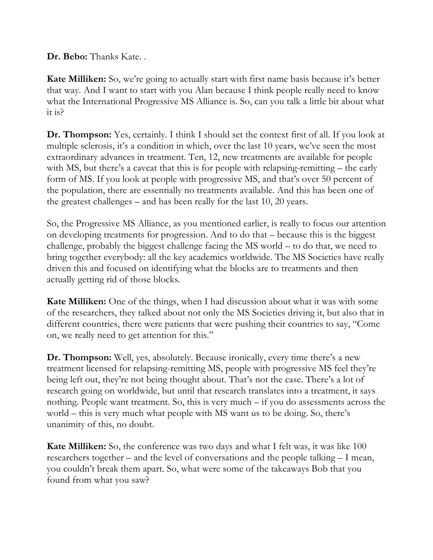**Dr. Bebo:** Thanks Kate. .

**Kate Milliken:** So, we're going to actually start with first name basis because it's better that way. And I want to start with you Alan because I think people really need to know what the International Progressive MS Alliance is. So, can you talk a little bit about what it is?

**Dr. Thompson:** Yes, certainly. I think I should set the context first of all. If you look at multiple sclerosis, it's a condition in which, over the last 10 years, we've seen the most extraordinary advances in treatment. Ten, 12, new treatments are available for people with MS, but there's a caveat that this is for people with relapsing-remitting – the early form of MS. If you look at people with progressive MS, and that's over 50 percent of the population, there are essentially no treatments available. And this has been one of the greatest challenges – and has been really for the last 10, 20 years.

So, the Progressive MS Alliance, as you mentioned earlier, is really to focus our attention on developing treatments for progression. And to do that – because this is the biggest challenge, probably the biggest challenge facing the MS world – to do that, we need to bring together everybody: all the key academics worldwide. The MS Societies have really driven this and focused on identifying what the blocks are to treatments and then actually getting rid of those blocks.

**Kate Milliken:** One of the things, when I had discussion about what it was with some of the researchers, they talked about not only the MS Societies driving it, but also that in different countries, there were patients that were pushing their countries to say, "Come on, we really need to get attention for this."

**Dr. Thompson:** Well, yes, absolutely. Because ironically, every time there's a new treatment licensed for relapsing-remitting MS, people with progressive MS feel they're being left out, they're not being thought about. That's not the case. There's a lot of research going on worldwide, but until that research translates into a treatment, it says nothing. People want treatment. So, this is very much – if you do assessments across the world – this is very much what people with MS want us to be doing. So, there's unanimity of this, no doubt.

**Kate Milliken:** So, the conference was two days and what I felt was, it was like 100 researchers together – and the level of conversations and the people talking – I mean, you couldn't break them apart. So, what were some of the takeaways Bob that you found from what you saw?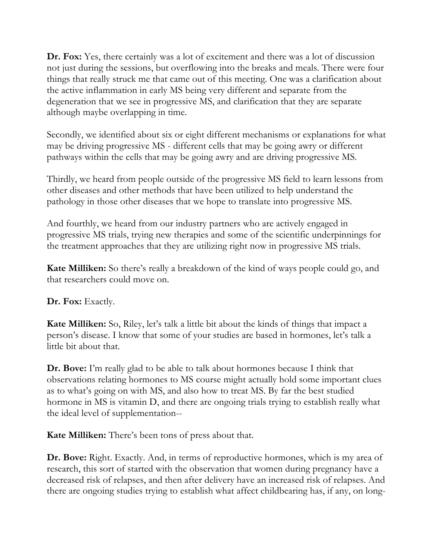**Dr. Fox:** Yes, there certainly was a lot of excitement and there was a lot of discussion not just during the sessions, but overflowing into the breaks and meals. There were four things that really struck me that came out of this meeting. One was a clarification about the active inflammation in early MS being very different and separate from the degeneration that we see in progressive MS, and clarification that they are separate although maybe overlapping in time.

Secondly, we identified about six or eight different mechanisms or explanations for what may be driving progressive MS - different cells that may be going awry or different pathways within the cells that may be going awry and are driving progressive MS.

Thirdly, we heard from people outside of the progressive MS field to learn lessons from other diseases and other methods that have been utilized to help understand the pathology in those other diseases that we hope to translate into progressive MS.

And fourthly, we heard from our industry partners who are actively engaged in progressive MS trials, trying new therapies and some of the scientific underpinnings for the treatment approaches that they are utilizing right now in progressive MS trials.

**Kate Milliken:** So there's really a breakdown of the kind of ways people could go, and that researchers could move on.

#### **Dr. Fox:** Exactly.

**Kate Milliken:** So, Riley, let's talk a little bit about the kinds of things that impact a person's disease. I know that some of your studies are based in hormones, let's talk a little bit about that.

**Dr. Bove:** I'm really glad to be able to talk about hormones because I think that observations relating hormones to MS course might actually hold some important clues as to what's going on with MS, and also how to treat MS. By far the best studied hormone in MS is vitamin D, and there are ongoing trials trying to establish really what the ideal level of supplementation--

**Kate Milliken:** There's been tons of press about that.

**Dr. Bove:** Right. Exactly. And, in terms of reproductive hormones, which is my area of research, this sort of started with the observation that women during pregnancy have a decreased risk of relapses, and then after delivery have an increased risk of relapses. And there are ongoing studies trying to establish what affect childbearing has, if any, on long-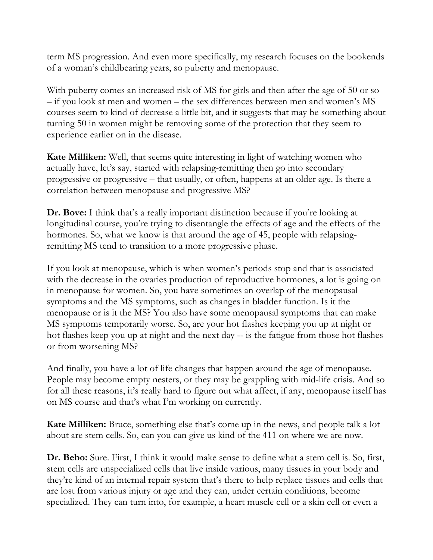term MS progression. And even more specifically, my research focuses on the bookends of a woman's childbearing years, so puberty and menopause.

With puberty comes an increased risk of MS for girls and then after the age of 50 or so – if you look at men and women – the sex differences between men and women's MS courses seem to kind of decrease a little bit, and it suggests that may be something about turning 50 in women might be removing some of the protection that they seem to experience earlier on in the disease.

**Kate Milliken:** Well, that seems quite interesting in light of watching women who actually have, let's say, started with relapsing-remitting then go into secondary progressive or progressive – that usually, or often, happens at an older age. Is there a correlation between menopause and progressive MS?

**Dr. Bove:** I think that's a really important distinction because if you're looking at longitudinal course, you're trying to disentangle the effects of age and the effects of the hormones. So, what we know is that around the age of 45, people with relapsingremitting MS tend to transition to a more progressive phase.

If you look at menopause, which is when women's periods stop and that is associated with the decrease in the ovaries production of reproductive hormones, a lot is going on in menopause for women. So, you have sometimes an overlap of the menopausal symptoms and the MS symptoms, such as changes in bladder function. Is it the menopause or is it the MS? You also have some menopausal symptoms that can make MS symptoms temporarily worse. So, are your hot flashes keeping you up at night or hot flashes keep you up at night and the next day -- is the fatigue from those hot flashes or from worsening MS?

And finally, you have a lot of life changes that happen around the age of menopause. People may become empty nesters, or they may be grappling with mid-life crisis. And so for all these reasons, it's really hard to figure out what affect, if any, menopause itself has on MS course and that's what I'm working on currently.

**Kate Milliken:** Bruce, something else that's come up in the news, and people talk a lot about are stem cells. So, can you can give us kind of the 411 on where we are now.

**Dr. Bebo:** Sure. First, I think it would make sense to define what a stem cell is. So, first, stem cells are unspecialized cells that live inside various, many tissues in your body and they're kind of an internal repair system that's there to help replace tissues and cells that are lost from various injury or age and they can, under certain conditions, become specialized. They can turn into, for example, a heart muscle cell or a skin cell or even a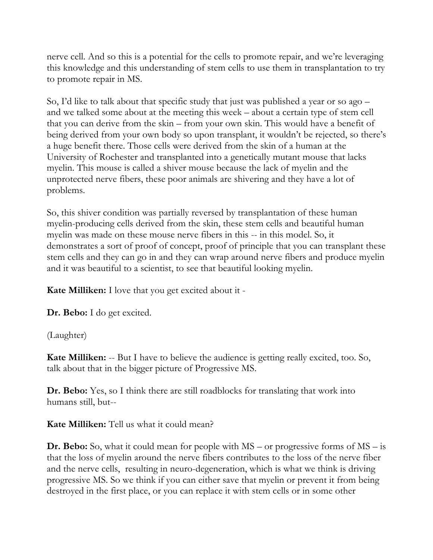nerve cell. And so this is a potential for the cells to promote repair, and we're leveraging this knowledge and this understanding of stem cells to use them in transplantation to try to promote repair in MS.

So, I'd like to talk about that specific study that just was published a year or so ago – and we talked some about at the meeting this week – about a certain type of stem cell that you can derive from the skin – from your own skin. This would have a benefit of being derived from your own body so upon transplant, it wouldn't be rejected, so there's a huge benefit there. Those cells were derived from the skin of a human at the University of Rochester and transplanted into a genetically mutant mouse that lacks myelin. This mouse is called a shiver mouse because the lack of myelin and the unprotected nerve fibers, these poor animals are shivering and they have a lot of problems.

So, this shiver condition was partially reversed by transplantation of these human myelin-producing cells derived from the skin, these stem cells and beautiful human myelin was made on these mouse nerve fibers in this -- in this model. So, it demonstrates a sort of proof of concept, proof of principle that you can transplant these stem cells and they can go in and they can wrap around nerve fibers and produce myelin and it was beautiful to a scientist, to see that beautiful looking myelin.

**Kate Milliken:** I love that you get excited about it -

**Dr. Bebo:** I do get excited.

(Laughter)

**Kate Milliken:** -- But I have to believe the audience is getting really excited, too. So, talk about that in the bigger picture of Progressive MS.

**Dr. Bebo:** Yes, so I think there are still roadblocks for translating that work into humans still, but--

**Kate Milliken:** Tell us what it could mean?

**Dr. Bebo:** So, what it could mean for people with MS – or progressive forms of MS – is that the loss of myelin around the nerve fibers contributes to the loss of the nerve fiber and the nerve cells, resulting in neuro-degeneration, which is what we think is driving progressive MS. So we think if you can either save that myelin or prevent it from being destroyed in the first place, or you can replace it with stem cells or in some other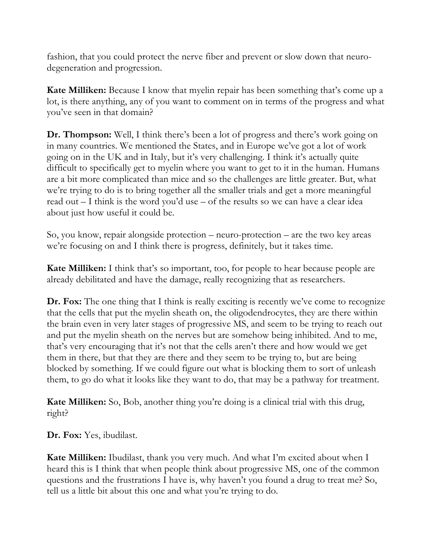fashion, that you could protect the nerve fiber and prevent or slow down that neurodegeneration and progression.

**Kate Milliken:** Because I know that myelin repair has been something that's come up a lot, is there anything, any of you want to comment on in terms of the progress and what you've seen in that domain?

**Dr. Thompson:** Well, I think there's been a lot of progress and there's work going on in many countries. We mentioned the States, and in Europe we've got a lot of work going on in the UK and in Italy, but it's very challenging. I think it's actually quite difficult to specifically get to myelin where you want to get to it in the human. Humans are a bit more complicated than mice and so the challenges are little greater. But, what we're trying to do is to bring together all the smaller trials and get a more meaningful read out – I think is the word you'd use – of the results so we can have a clear idea about just how useful it could be.

So, you know, repair alongside protection – neuro-protection – are the two key areas we're focusing on and I think there is progress, definitely, but it takes time.

**Kate Milliken:** I think that's so important, too, for people to hear because people are already debilitated and have the damage, really recognizing that as researchers.

**Dr. Fox:** The one thing that I think is really exciting is recently we've come to recognize that the cells that put the myelin sheath on, the oligodendrocytes, they are there within the brain even in very later stages of progressive MS, and seem to be trying to reach out and put the myelin sheath on the nerves but are somehow being inhibited. And to me, that's very encouraging that it's not that the cells aren't there and how would we get them in there, but that they are there and they seem to be trying to, but are being blocked by something. If we could figure out what is blocking them to sort of unleash them, to go do what it looks like they want to do, that may be a pathway for treatment.

**Kate Milliken:** So, Bob, another thing you're doing is a clinical trial with this drug, right?

**Dr. Fox:** Yes, ibudilast.

**Kate Milliken:** Ibudilast, thank you very much. And what I'm excited about when I heard this is I think that when people think about progressive MS, one of the common questions and the frustrations I have is, why haven't you found a drug to treat me? So, tell us a little bit about this one and what you're trying to do.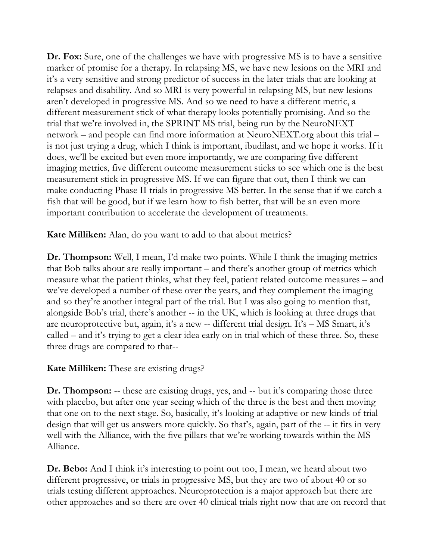**Dr. Fox:** Sure, one of the challenges we have with progressive MS is to have a sensitive marker of promise for a therapy. In relapsing MS, we have new lesions on the MRI and it's a very sensitive and strong predictor of success in the later trials that are looking at relapses and disability. And so MRI is very powerful in relapsing MS, but new lesions aren't developed in progressive MS. And so we need to have a different metric, a different measurement stick of what therapy looks potentially promising. And so the trial that we're involved in, the SPRINT MS trial, being run by the NeuroNEXT network – and people can find more information at NeuroNEXT.org about this trial – is not just trying a drug, which I think is important, ibudilast, and we hope it works. If it does, we'll be excited but even more importantly, we are comparing five different imaging metrics, five different outcome measurement sticks to see which one is the best measurement stick in progressive MS. If we can figure that out, then I think we can make conducting Phase II trials in progressive MS better. In the sense that if we catch a fish that will be good, but if we learn how to fish better, that will be an even more important contribution to accelerate the development of treatments.

**Kate Milliken:** Alan, do you want to add to that about metrics?

**Dr. Thompson:** Well, I mean, I'd make two points. While I think the imaging metrics that Bob talks about are really important – and there's another group of metrics which measure what the patient thinks, what they feel, patient related outcome measures – and we've developed a number of these over the years, and they complement the imaging and so they're another integral part of the trial. But I was also going to mention that, alongside Bob's trial, there's another -- in the UK, which is looking at three drugs that are neuroprotective but, again, it's a new -- different trial design. It's – MS Smart, it's called – and it's trying to get a clear idea early on in trial which of these three. So, these three drugs are compared to that--

**Kate Milliken:** These are existing drugs?

**Dr. Thompson:** -- these are existing drugs, yes, and -- but it's comparing those three with placebo, but after one year seeing which of the three is the best and then moving that one on to the next stage. So, basically, it's looking at adaptive or new kinds of trial design that will get us answers more quickly. So that's, again, part of the -- it fits in very well with the Alliance, with the five pillars that we're working towards within the MS Alliance.

**Dr. Bebo:** And I think it's interesting to point out too, I mean, we heard about two different progressive, or trials in progressive MS, but they are two of about 40 or so trials testing different approaches. Neuroprotection is a major approach but there are other approaches and so there are over 40 clinical trials right now that are on record that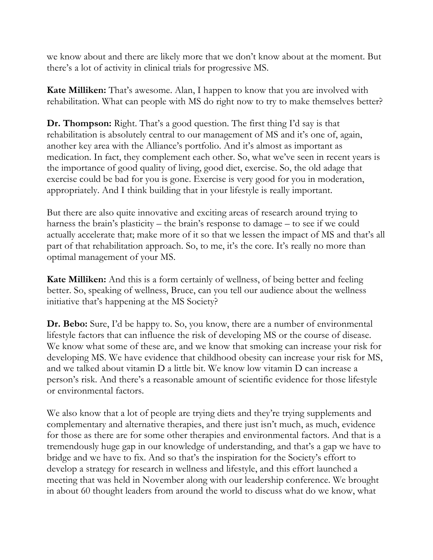we know about and there are likely more that we don't know about at the moment. But there's a lot of activity in clinical trials for progressive MS.

**Kate Milliken:** That's awesome. Alan, I happen to know that you are involved with rehabilitation. What can people with MS do right now to try to make themselves better?

**Dr. Thompson:** Right. That's a good question. The first thing I'd say is that rehabilitation is absolutely central to our management of MS and it's one of, again, another key area with the Alliance's portfolio. And it's almost as important as medication. In fact, they complement each other. So, what we've seen in recent years is the importance of good quality of living, good diet, exercise. So, the old adage that exercise could be bad for you is gone. Exercise is very good for you in moderation, appropriately. And I think building that in your lifestyle is really important.

But there are also quite innovative and exciting areas of research around trying to harness the brain's plasticity – the brain's response to damage – to see if we could actually accelerate that; make more of it so that we lessen the impact of MS and that's all part of that rehabilitation approach. So, to me, it's the core. It's really no more than optimal management of your MS.

**Kate Milliken:** And this is a form certainly of wellness, of being better and feeling better. So, speaking of wellness, Bruce, can you tell our audience about the wellness initiative that's happening at the MS Society?

**Dr. Bebo:** Sure, I'd be happy to. So, you know, there are a number of environmental lifestyle factors that can influence the risk of developing MS or the course of disease. We know what some of these are, and we know that smoking can increase your risk for developing MS. We have evidence that childhood obesity can increase your risk for MS, and we talked about vitamin D a little bit. We know low vitamin D can increase a person's risk. And there's a reasonable amount of scientific evidence for those lifestyle or environmental factors.

We also know that a lot of people are trying diets and they're trying supplements and complementary and alternative therapies, and there just isn't much, as much, evidence for those as there are for some other therapies and environmental factors. And that is a tremendously huge gap in our knowledge of understanding, and that's a gap we have to bridge and we have to fix. And so that's the inspiration for the Society's effort to develop a strategy for research in wellness and lifestyle, and this effort launched a meeting that was held in November along with our leadership conference. We brought in about 60 thought leaders from around the world to discuss what do we know, what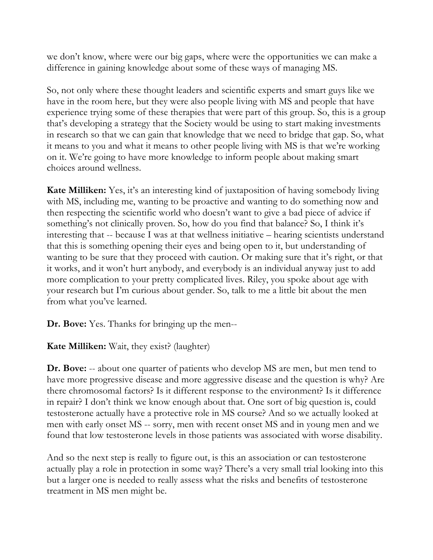we don't know, where were our big gaps, where were the opportunities we can make a difference in gaining knowledge about some of these ways of managing MS.

So, not only where these thought leaders and scientific experts and smart guys like we have in the room here, but they were also people living with MS and people that have experience trying some of these therapies that were part of this group. So, this is a group that's developing a strategy that the Society would be using to start making investments in research so that we can gain that knowledge that we need to bridge that gap. So, what it means to you and what it means to other people living with MS is that we're working on it. We're going to have more knowledge to inform people about making smart choices around wellness.

**Kate Milliken:** Yes, it's an interesting kind of juxtaposition of having somebody living with MS, including me, wanting to be proactive and wanting to do something now and then respecting the scientific world who doesn't want to give a bad piece of advice if something's not clinically proven. So, how do you find that balance? So, I think it's interesting that -- because I was at that wellness initiative – hearing scientists understand that this is something opening their eyes and being open to it, but understanding of wanting to be sure that they proceed with caution. Or making sure that it's right, or that it works, and it won't hurt anybody, and everybody is an individual anyway just to add more complication to your pretty complicated lives. Riley, you spoke about age with your research but I'm curious about gender. So, talk to me a little bit about the men from what you've learned.

**Dr. Bove:** Yes. Thanks for bringing up the men--

**Kate Milliken:** Wait, they exist? (laughter)

**Dr. Bove:** -- about one quarter of patients who develop MS are men, but men tend to have more progressive disease and more aggressive disease and the question is why? Are there chromosomal factors? Is it different response to the environment? Is it difference in repair? I don't think we know enough about that. One sort of big question is, could testosterone actually have a protective role in MS course? And so we actually looked at men with early onset MS -- sorry, men with recent onset MS and in young men and we found that low testosterone levels in those patients was associated with worse disability.

And so the next step is really to figure out, is this an association or can testosterone actually play a role in protection in some way? There's a very small trial looking into this but a larger one is needed to really assess what the risks and benefits of testosterone treatment in MS men might be.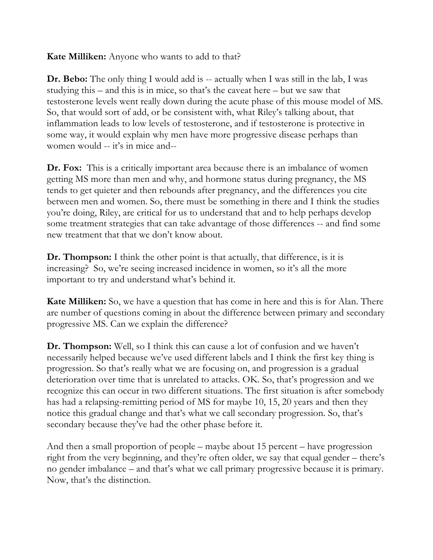**Kate Milliken:** Anyone who wants to add to that?

**Dr.** Bebo: The only thing I would add is -- actually when I was still in the lab, I was studying this – and this is in mice, so that's the caveat here – but we saw that testosterone levels went really down during the acute phase of this mouse model of MS. So, that would sort of add, or be consistent with, what Riley's talking about, that inflammation leads to low levels of testosterone, and if testosterone is protective in some way, it would explain why men have more progressive disease perhaps than women would -- it's in mice and--

**Dr. Fox:** This is a critically important area because there is an imbalance of women getting MS more than men and why, and hormone status during pregnancy, the MS tends to get quieter and then rebounds after pregnancy, and the differences you cite between men and women. So, there must be something in there and I think the studies you're doing, Riley, are critical for us to understand that and to help perhaps develop some treatment strategies that can take advantage of those differences -- and find some new treatment that that we don't know about.

**Dr. Thompson:** I think the other point is that actually, that difference, is it is increasing? So, we're seeing increased incidence in women, so it's all the more important to try and understand what's behind it.

**Kate Milliken:** So, we have a question that has come in here and this is for Alan. There are number of questions coming in about the difference between primary and secondary progressive MS. Can we explain the difference?

**Dr. Thompson:** Well, so I think this can cause a lot of confusion and we haven't necessarily helped because we've used different labels and I think the first key thing is progression. So that's really what we are focusing on, and progression is a gradual deterioration over time that is unrelated to attacks. OK. So, that's progression and we recognize this can occur in two different situations. The first situation is after somebody has had a relapsing-remitting period of MS for maybe 10, 15, 20 years and then they notice this gradual change and that's what we call secondary progression. So, that's secondary because they've had the other phase before it.

And then a small proportion of people – maybe about 15 percent – have progression right from the very beginning, and they're often older, we say that equal gender – there's no gender imbalance – and that's what we call primary progressive because it is primary. Now, that's the distinction.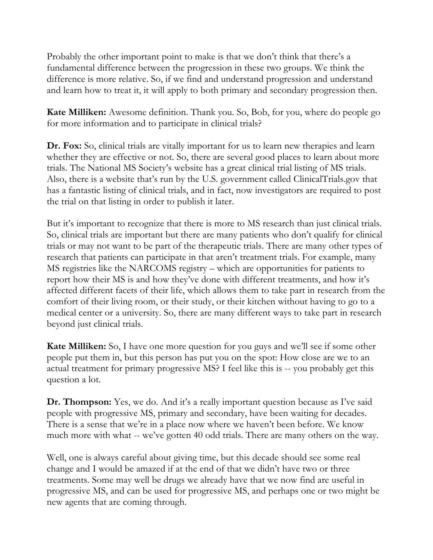Probably the other important point to make is that we don't think that there's a fundamental difference between the progression in these two groups. We think the difference is more relative. So, if we find and understand progression and understand and learn how to treat it, it will apply to both primary and secondary progression then.

**Kate Milliken:** Awesome definition. Thank you. So, Bob, for you, where do people go for more information and to participate in clinical trials?

**Dr. Fox:** So, clinical trials are vitally important for us to learn new therapies and learn whether they are effective or not. So, there are several good places to learn about more trials. The National MS Society's website has a great clinical trial listing of MS trials. Also, there is a website that's run by the U.S. government called ClinicalTrials.gov that has a fantastic listing of clinical trials, and in fact, now investigators are required to post the trial on that listing in order to publish it later.

But it's important to recognize that there is more to MS research than just clinical trials. So, clinical trials are important but there are many patients who don't qualify for clinical trials or may not want to be part of the therapeutic trials. There are many other types of research that patients can participate in that aren't treatment trials. For example, many MS registries like the NARCOMS registry – which are opportunities for patients to report how their MS is and how they've done with different treatments, and how it's affected different facets of their life, which allows them to take part in research from the comfort of their living room, or their study, or their kitchen without having to go to a medical center or a university. So, there are many different ways to take part in research beyond just clinical trials.

**Kate Milliken:** So, I have one more question for you guys and we'll see if some other people put them in, but this person has put you on the spot: How close are we to an actual treatment for primary progressive MS? I feel like this is -- you probably get this question a lot.

**Dr. Thompson:** Yes, we do. And it's a really important question because as I've said people with progressive MS, primary and secondary, have been waiting for decades. There is a sense that we're in a place now where we haven't been before. We know much more with what -- we've gotten 40 odd trials. There are many others on the way.

Well, one is always careful about giving time, but this decade should see some real change and I would be amazed if at the end of that we didn't have two or three treatments. Some may well be drugs we already have that we now find are useful in progressive MS, and can be used for progressive MS, and perhaps one or two might be new agents that are coming through.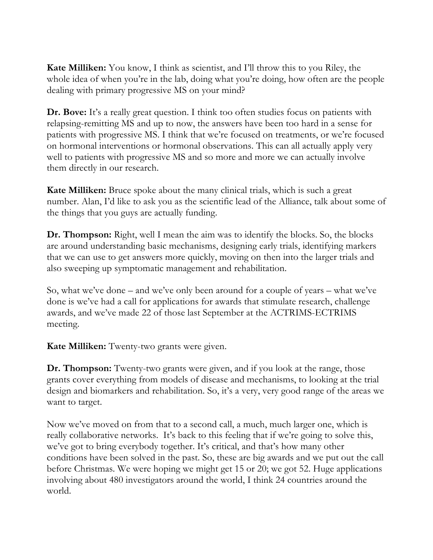**Kate Milliken:** You know, I think as scientist, and I'll throw this to you Riley, the whole idea of when you're in the lab, doing what you're doing, how often are the people dealing with primary progressive MS on your mind?

**Dr. Bove:** It's a really great question. I think too often studies focus on patients with relapsing-remitting MS and up to now, the answers have been too hard in a sense for patients with progressive MS. I think that we're focused on treatments, or we're focused on hormonal interventions or hormonal observations. This can all actually apply very well to patients with progressive MS and so more and more we can actually involve them directly in our research.

**Kate Milliken:** Bruce spoke about the many clinical trials, which is such a great number. Alan, I'd like to ask you as the scientific lead of the Alliance, talk about some of the things that you guys are actually funding.

**Dr. Thompson:** Right, well I mean the aim was to identify the blocks. So, the blocks are around understanding basic mechanisms, designing early trials, identifying markers that we can use to get answers more quickly, moving on then into the larger trials and also sweeping up symptomatic management and rehabilitation.

So, what we've done – and we've only been around for a couple of years – what we've done is we've had a call for applications for awards that stimulate research, challenge awards, and we've made 22 of those last September at the ACTRIMS-ECTRIMS meeting.

**Kate Milliken:** Twenty-two grants were given.

**Dr. Thompson:** Twenty-two grants were given, and if you look at the range, those grants cover everything from models of disease and mechanisms, to looking at the trial design and biomarkers and rehabilitation. So, it's a very, very good range of the areas we want to target.

Now we've moved on from that to a second call, a much, much larger one, which is really collaborative networks. It's back to this feeling that if we're going to solve this, we've got to bring everybody together. It's critical, and that's how many other conditions have been solved in the past. So, these are big awards and we put out the call before Christmas. We were hoping we might get 15 or 20; we got 52. Huge applications involving about 480 investigators around the world, I think 24 countries around the world.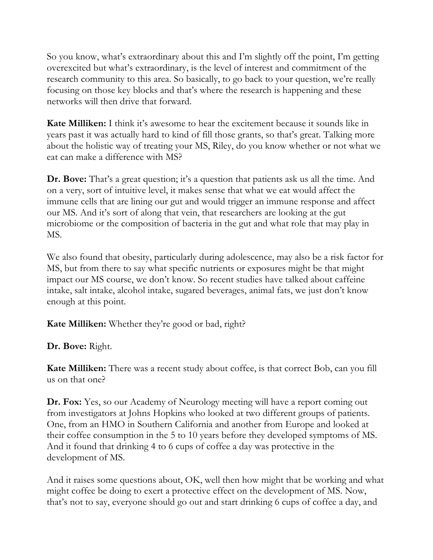So you know, what's extraordinary about this and I'm slightly off the point, I'm getting overexcited but what's extraordinary, is the level of interest and commitment of the research community to this area. So basically, to go back to your question, we're really focusing on those key blocks and that's where the research is happening and these networks will then drive that forward.

**Kate Milliken:** I think it's awesome to hear the excitement because it sounds like in years past it was actually hard to kind of fill those grants, so that's great. Talking more about the holistic way of treating your MS, Riley, do you know whether or not what we eat can make a difference with MS?

**Dr. Bove:** That's a great question; it's a question that patients ask us all the time. And on a very, sort of intuitive level, it makes sense that what we eat would affect the immune cells that are lining our gut and would trigger an immune response and affect our MS. And it's sort of along that vein, that researchers are looking at the gut microbiome or the composition of bacteria in the gut and what role that may play in MS.

We also found that obesity, particularly during adolescence, may also be a risk factor for MS, but from there to say what specific nutrients or exposures might be that might impact our MS course, we don't know. So recent studies have talked about caffeine intake, salt intake, alcohol intake, sugared beverages, animal fats, we just don't know enough at this point.

**Kate Milliken:** Whether they're good or bad, right?

**Dr. Bove:** Right.

**Kate Milliken:** There was a recent study about coffee, is that correct Bob, can you fill us on that one?

**Dr. Fox:** Yes, so our Academy of Neurology meeting will have a report coming out from investigators at Johns Hopkins who looked at two different groups of patients. One, from an HMO in Southern California and another from Europe and looked at their coffee consumption in the 5 to 10 years before they developed symptoms of MS. And it found that drinking 4 to 6 cups of coffee a day was protective in the development of MS.

And it raises some questions about, OK, well then how might that be working and what might coffee be doing to exert a protective effect on the development of MS. Now, that's not to say, everyone should go out and start drinking 6 cups of coffee a day, and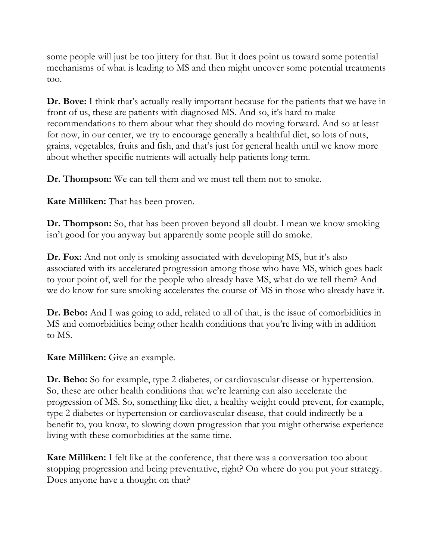some people will just be too jittery for that. But it does point us toward some potential mechanisms of what is leading to MS and then might uncover some potential treatments too.

**Dr. Bove:** I think that's actually really important because for the patients that we have in front of us, these are patients with diagnosed MS. And so, it's hard to make recommendations to them about what they should do moving forward. And so at least for now, in our center, we try to encourage generally a healthful diet, so lots of nuts, grains, vegetables, fruits and fish, and that's just for general health until we know more about whether specific nutrients will actually help patients long term.

**Dr. Thompson:** We can tell them and we must tell them not to smoke.

**Kate Milliken:** That has been proven.

**Dr. Thompson:** So, that has been proven beyond all doubt. I mean we know smoking isn't good for you anyway but apparently some people still do smoke.

**Dr. Fox:** And not only is smoking associated with developing MS, but it's also associated with its accelerated progression among those who have MS, which goes back to your point of, well for the people who already have MS, what do we tell them? And we do know for sure smoking accelerates the course of MS in those who already have it.

**Dr. Bebo:** And I was going to add, related to all of that, is the issue of comorbidities in MS and comorbidities being other health conditions that you're living with in addition to MS.

**Kate Milliken:** Give an example.

**Dr. Bebo:** So for example, type 2 diabetes, or cardiovascular disease or hypertension. So, these are other health conditions that we're learning can also accelerate the progression of MS. So, something like diet, a healthy weight could prevent, for example, type 2 diabetes or hypertension or cardiovascular disease, that could indirectly be a benefit to, you know, to slowing down progression that you might otherwise experience living with these comorbidities at the same time.

**Kate Milliken:** I felt like at the conference, that there was a conversation too about stopping progression and being preventative, right? On where do you put your strategy. Does anyone have a thought on that?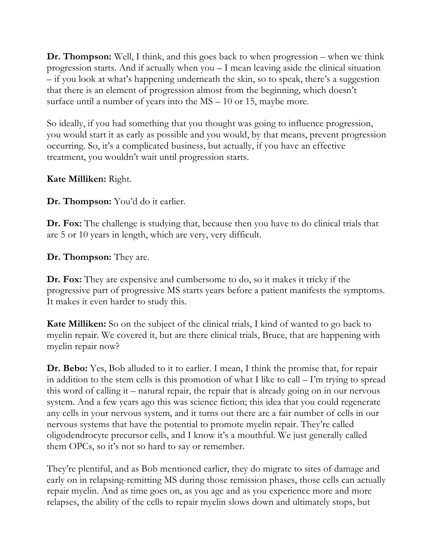**Dr. Thompson:** Well, I think, and this goes back to when progression – when we think progression starts. And if actually when you – I mean leaving aside the clinical situation – if you look at what's happening underneath the skin, so to speak, there's a suggestion that there is an element of progression almost from the beginning, which doesn't surface until a number of years into the MS – 10 or 15, maybe more.

So ideally, if you had something that you thought was going to influence progression, you would start it as early as possible and you would, by that means, prevent progression occurring. So, it's a complicated business, but actually, if you have an effective treatment, you wouldn't wait until progression starts.

**Kate Milliken:** Right.

**Dr. Thompson:** You'd do it earlier.

**Dr. Fox:** The challenge is studying that, because then you have to do clinical trials that are 5 or 10 years in length, which are very, very difficult.

**Dr. Thompson:** They are.

**Dr. Fox:** They are expensive and cumbersome to do, so it makes it tricky if the progressive part of progressive MS starts years before a patient manifests the symptoms. It makes it even harder to study this.

**Kate Milliken:** So on the subject of the clinical trials, I kind of wanted to go back to myelin repair. We covered it, but are there clinical trials, Bruce, that are happening with myelin repair now?

**Dr. Bebo:** Yes, Bob alluded to it to earlier. I mean, I think the promise that, for repair in addition to the stem cells is this promotion of what I like to call – I'm trying to spread this word of calling it – natural repair, the repair that is already going on in our nervous system. And a few years ago this was science fiction; this idea that you could regenerate any cells in your nervous system, and it turns out there are a fair number of cells in our nervous systems that have the potential to promote myelin repair. They're called oligodendrocyte precursor cells, and I know it's a mouthful. We just generally called them OPCs, so it's not so hard to say or remember.

They're plentiful, and as Bob mentioned earlier, they do migrate to sites of damage and early on in relapsing-remitting MS during those remission phases, those cells can actually repair myelin. And as time goes on, as you age and as you experience more and more relapses, the ability of the cells to repair myelin slows down and ultimately stops, but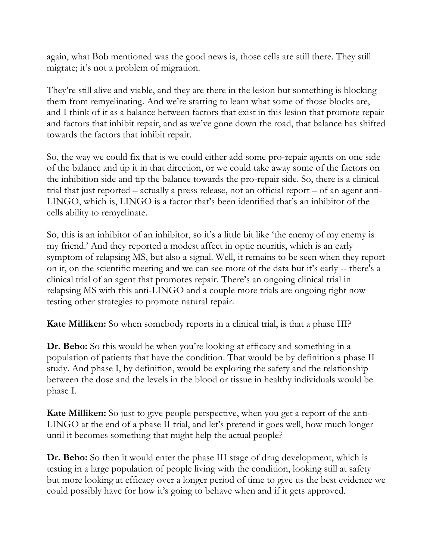again, what Bob mentioned was the good news is, those cells are still there. They still migrate; it's not a problem of migration.

They're still alive and viable, and they are there in the lesion but something is blocking them from remyelinating. And we're starting to learn what some of those blocks are, and I think of it as a balance between factors that exist in this lesion that promote repair and factors that inhibit repair, and as we've gone down the road, that balance has shifted towards the factors that inhibit repair.

So, the way we could fix that is we could either add some pro-repair agents on one side of the balance and tip it in that direction, or we could take away some of the factors on the inhibition side and tip the balance towards the pro-repair side. So, there is a clinical trial that just reported – actually a press release, not an official report – of an agent anti-LINGO, which is, LINGO is a factor that's been identified that's an inhibitor of the cells ability to remyelinate.

So, this is an inhibitor of an inhibitor, so it's a little bit like 'the enemy of my enemy is my friend.' And they reported a modest affect in optic neuritis, which is an early symptom of relapsing MS, but also a signal. Well, it remains to be seen when they report on it, on the scientific meeting and we can see more of the data but it's early -- there's a clinical trial of an agent that promotes repair. There's an ongoing clinical trial in relapsing MS with this anti-LINGO and a couple more trials are ongoing right now testing other strategies to promote natural repair.

**Kate Milliken:** So when somebody reports in a clinical trial, is that a phase III?

**Dr.** Bebo: So this would be when you're looking at efficacy and something in a population of patients that have the condition. That would be by definition a phase II study. And phase I, by definition, would be exploring the safety and the relationship between the dose and the levels in the blood or tissue in healthy individuals would be phase I.

**Kate Milliken:** So just to give people perspective, when you get a report of the anti-LINGO at the end of a phase II trial, and let's pretend it goes well, how much longer until it becomes something that might help the actual people?

**Dr. Bebo:** So then it would enter the phase III stage of drug development, which is testing in a large population of people living with the condition, looking still at safety but more looking at efficacy over a longer period of time to give us the best evidence we could possibly have for how it's going to behave when and if it gets approved.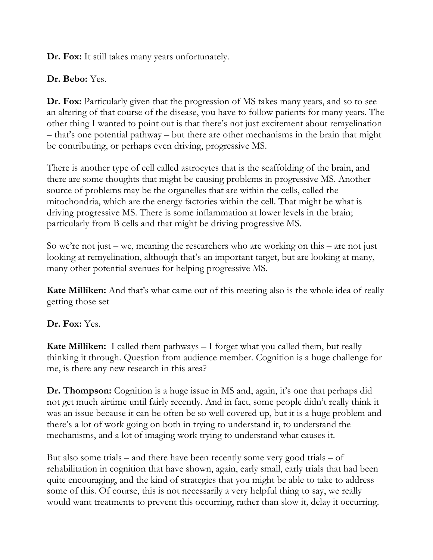**Dr. Fox:** It still takes many years unfortunately.

## **Dr. Bebo:** Yes.

**Dr. Fox:** Particularly given that the progression of MS takes many years, and so to see an altering of that course of the disease, you have to follow patients for many years. The other thing I wanted to point out is that there's not just excitement about remyelination – that's one potential pathway – but there are other mechanisms in the brain that might be contributing, or perhaps even driving, progressive MS.

There is another type of cell called astrocytes that is the scaffolding of the brain, and there are some thoughts that might be causing problems in progressive MS. Another source of problems may be the organelles that are within the cells, called the mitochondria, which are the energy factories within the cell. That might be what is driving progressive MS. There is some inflammation at lower levels in the brain; particularly from B cells and that might be driving progressive MS.

So we're not just – we, meaning the researchers who are working on this – are not just looking at remyelination, although that's an important target, but are looking at many, many other potential avenues for helping progressive MS.

**Kate Milliken:** And that's what came out of this meeting also is the whole idea of really getting those set

# **Dr. Fox:** Yes.

**Kate Milliken:** I called them pathways – I forget what you called them, but really thinking it through. Question from audience member. Cognition is a huge challenge for me, is there any new research in this area?

**Dr. Thompson:** Cognition is a huge issue in MS and, again, it's one that perhaps did not get much airtime until fairly recently. And in fact, some people didn't really think it was an issue because it can be often be so well covered up, but it is a huge problem and there's a lot of work going on both in trying to understand it, to understand the mechanisms, and a lot of imaging work trying to understand what causes it.

But also some trials – and there have been recently some very good trials – of rehabilitation in cognition that have shown, again, early small, early trials that had been quite encouraging, and the kind of strategies that you might be able to take to address some of this. Of course, this is not necessarily a very helpful thing to say, we really would want treatments to prevent this occurring, rather than slow it, delay it occurring.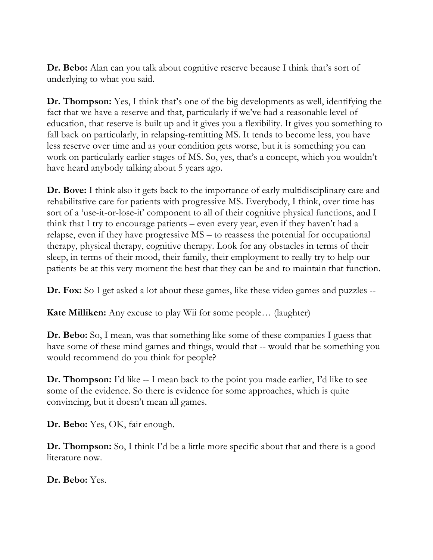**Dr. Bebo:** Alan can you talk about cognitive reserve because I think that's sort of underlying to what you said.

**Dr. Thompson:** Yes, I think that's one of the big developments as well, identifying the fact that we have a reserve and that, particularly if we've had a reasonable level of education, that reserve is built up and it gives you a flexibility. It gives you something to fall back on particularly, in relapsing-remitting MS. It tends to become less, you have less reserve over time and as your condition gets worse, but it is something you can work on particularly earlier stages of MS. So, yes, that's a concept, which you wouldn't have heard anybody talking about 5 years ago.

**Dr. Bove:** I think also it gets back to the importance of early multidisciplinary care and rehabilitative care for patients with progressive MS. Everybody, I think, over time has sort of a 'use-it-or-lose-it' component to all of their cognitive physical functions, and I think that I try to encourage patients – even every year, even if they haven't had a relapse, even if they have progressive MS – to reassess the potential for occupational therapy, physical therapy, cognitive therapy. Look for any obstacles in terms of their sleep, in terms of their mood, their family, their employment to really try to help our patients be at this very moment the best that they can be and to maintain that function.

**Dr. Fox:** So I get asked a lot about these games, like these video games and puzzles --

**Kate Milliken:** Any excuse to play Wii for some people... (laughter)

**Dr. Bebo:** So, I mean, was that something like some of these companies I guess that have some of these mind games and things, would that -- would that be something you would recommend do you think for people?

**Dr. Thompson:** I'd like -- I mean back to the point you made earlier, I'd like to see some of the evidence. So there is evidence for some approaches, which is quite convincing, but it doesn't mean all games.

**Dr. Bebo:** Yes, OK, fair enough.

**Dr. Thompson:** So, I think I'd be a little more specific about that and there is a good literature now.

**Dr. Bebo:** Yes.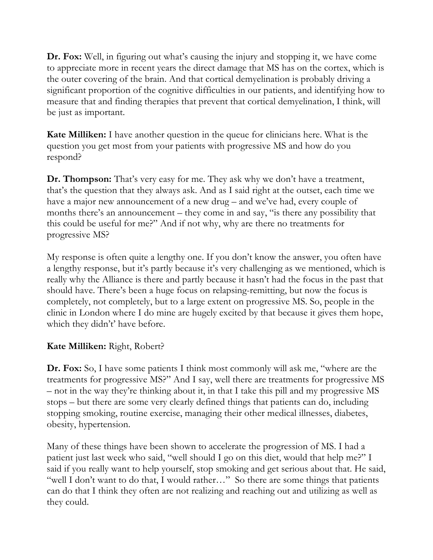**Dr. Fox:** Well, in figuring out what's causing the injury and stopping it, we have come to appreciate more in recent years the direct damage that MS has on the cortex, which is the outer covering of the brain. And that cortical demyelination is probably driving a significant proportion of the cognitive difficulties in our patients, and identifying how to measure that and finding therapies that prevent that cortical demyelination, I think, will be just as important.

**Kate Milliken:** I have another question in the queue for clinicians here. What is the question you get most from your patients with progressive MS and how do you respond?

**Dr. Thompson:** That's very easy for me. They ask why we don't have a treatment, that's the question that they always ask. And as I said right at the outset, each time we have a major new announcement of a new drug – and we've had, every couple of months there's an announcement – they come in and say, "is there any possibility that this could be useful for me?" And if not why, why are there no treatments for progressive MS?

My response is often quite a lengthy one. If you don't know the answer, you often have a lengthy response, but it's partly because it's very challenging as we mentioned, which is really why the Alliance is there and partly because it hasn't had the focus in the past that should have. There's been a huge focus on relapsing-remitting, but now the focus is completely, not completely, but to a large extent on progressive MS. So, people in the clinic in London where I do mine are hugely excited by that because it gives them hope, which they didn't' have before.

## **Kate Milliken:** Right, Robert?

**Dr. Fox:** So, I have some patients I think most commonly will ask me, "where are the treatments for progressive MS?" And I say, well there are treatments for progressive MS – not in the way they're thinking about it, in that I take this pill and my progressive MS stops – but there are some very clearly defined things that patients can do, including stopping smoking, routine exercise, managing their other medical illnesses, diabetes, obesity, hypertension.

Many of these things have been shown to accelerate the progression of MS. I had a patient just last week who said, "well should I go on this diet, would that help me?" I said if you really want to help yourself, stop smoking and get serious about that. He said, "well I don't want to do that, I would rather…" So there are some things that patients can do that I think they often are not realizing and reaching out and utilizing as well as they could.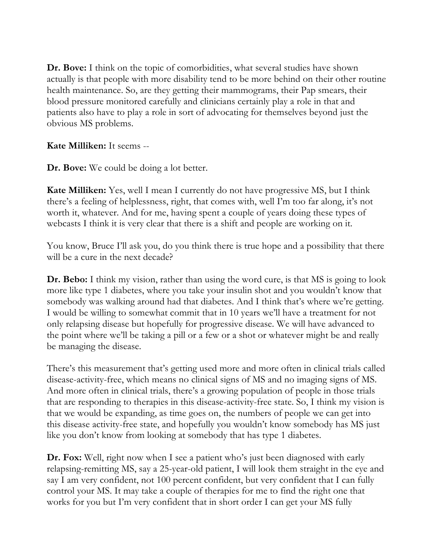**Dr. Bove:** I think on the topic of comorbidities, what several studies have shown actually is that people with more disability tend to be more behind on their other routine health maintenance. So, are they getting their mammograms, their Pap smears, their blood pressure monitored carefully and clinicians certainly play a role in that and patients also have to play a role in sort of advocating for themselves beyond just the obvious MS problems.

**Kate Milliken:** It seems --

**Dr. Bove:** We could be doing a lot better.

**Kate Milliken:** Yes, well I mean I currently do not have progressive MS, but I think there's a feeling of helplessness, right, that comes with, well I'm too far along, it's not worth it, whatever. And for me, having spent a couple of years doing these types of webcasts I think it is very clear that there is a shift and people are working on it.

You know, Bruce I'll ask you, do you think there is true hope and a possibility that there will be a cure in the next decade?

**Dr. Bebo:** I think my vision, rather than using the word cure, is that MS is going to look more like type 1 diabetes, where you take your insulin shot and you wouldn't know that somebody was walking around had that diabetes. And I think that's where we're getting. I would be willing to somewhat commit that in 10 years we'll have a treatment for not only relapsing disease but hopefully for progressive disease. We will have advanced to the point where we'll be taking a pill or a few or a shot or whatever might be and really be managing the disease.

There's this measurement that's getting used more and more often in clinical trials called disease-activity-free, which means no clinical signs of MS and no imaging signs of MS. And more often in clinical trials, there's a growing population of people in those trials that are responding to therapies in this disease-activity-free state. So, I think my vision is that we would be expanding, as time goes on, the numbers of people we can get into this disease activity-free state, and hopefully you wouldn't know somebody has MS just like you don't know from looking at somebody that has type 1 diabetes.

**Dr. Fox:** Well, right now when I see a patient who's just been diagnosed with early relapsing-remitting MS, say a 25-year-old patient, I will look them straight in the eye and say I am very confident, not 100 percent confident, but very confident that I can fully control your MS. It may take a couple of therapies for me to find the right one that works for you but I'm very confident that in short order I can get your MS fully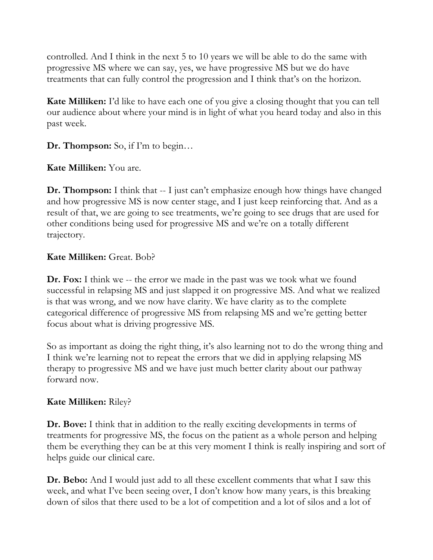controlled. And I think in the next 5 to 10 years we will be able to do the same with progressive MS where we can say, yes, we have progressive MS but we do have treatments that can fully control the progression and I think that's on the horizon.

**Kate Milliken:** I'd like to have each one of you give a closing thought that you can tell our audience about where your mind is in light of what you heard today and also in this past week.

**Dr. Thompson:** So, if I'm to begin…

**Kate Milliken:** You are.

**Dr. Thompson:** I think that -- I just can't emphasize enough how things have changed and how progressive MS is now center stage, and I just keep reinforcing that. And as a result of that, we are going to see treatments, we're going to see drugs that are used for other conditions being used for progressive MS and we're on a totally different trajectory.

## **Kate Milliken:** Great. Bob?

**Dr. Fox:** I think we -- the error we made in the past was we took what we found successful in relapsing MS and just slapped it on progressive MS. And what we realized is that was wrong, and we now have clarity. We have clarity as to the complete categorical difference of progressive MS from relapsing MS and we're getting better focus about what is driving progressive MS.

So as important as doing the right thing, it's also learning not to do the wrong thing and I think we're learning not to repeat the errors that we did in applying relapsing MS therapy to progressive MS and we have just much better clarity about our pathway forward now.

## **Kate Milliken:** Riley?

**Dr. Bove:** I think that in addition to the really exciting developments in terms of treatments for progressive MS, the focus on the patient as a whole person and helping them be everything they can be at this very moment I think is really inspiring and sort of helps guide our clinical care.

**Dr. Bebo:** And I would just add to all these excellent comments that what I saw this week, and what I've been seeing over, I don't know how many years, is this breaking down of silos that there used to be a lot of competition and a lot of silos and a lot of